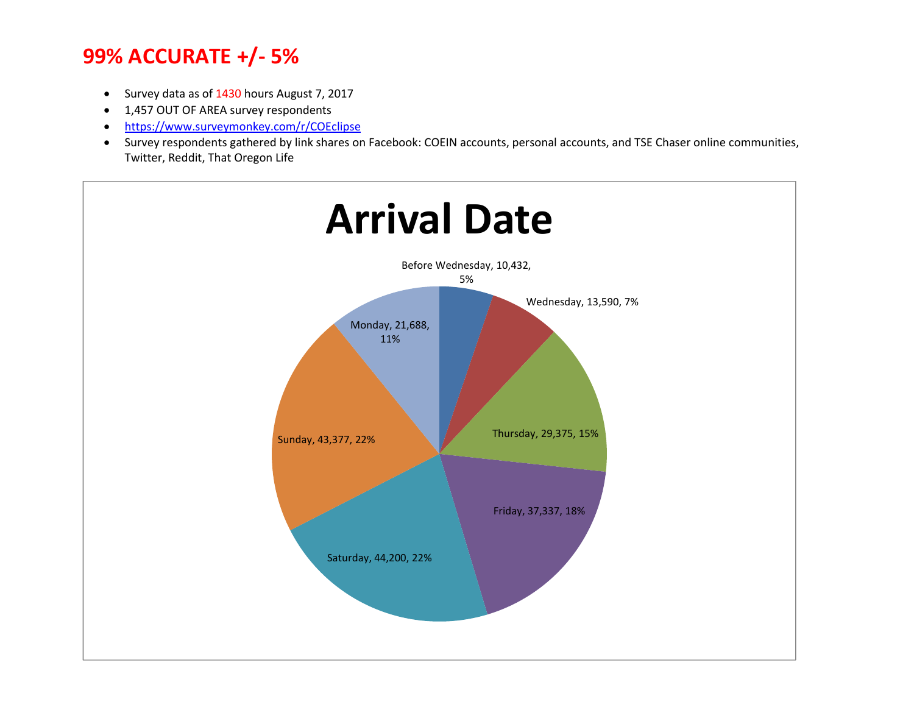- Survey data as of 1430 hours August 7, 2017
- 1,457 OUT OF AREA survey respondents
- https://www.surveymonkey.com/r/COEclipse
- Survey respondents gathered by link shares on Facebook: COEIN accounts, personal accounts, and TSE Chaser online communities, Twitter, Reddit, That Oregon Life

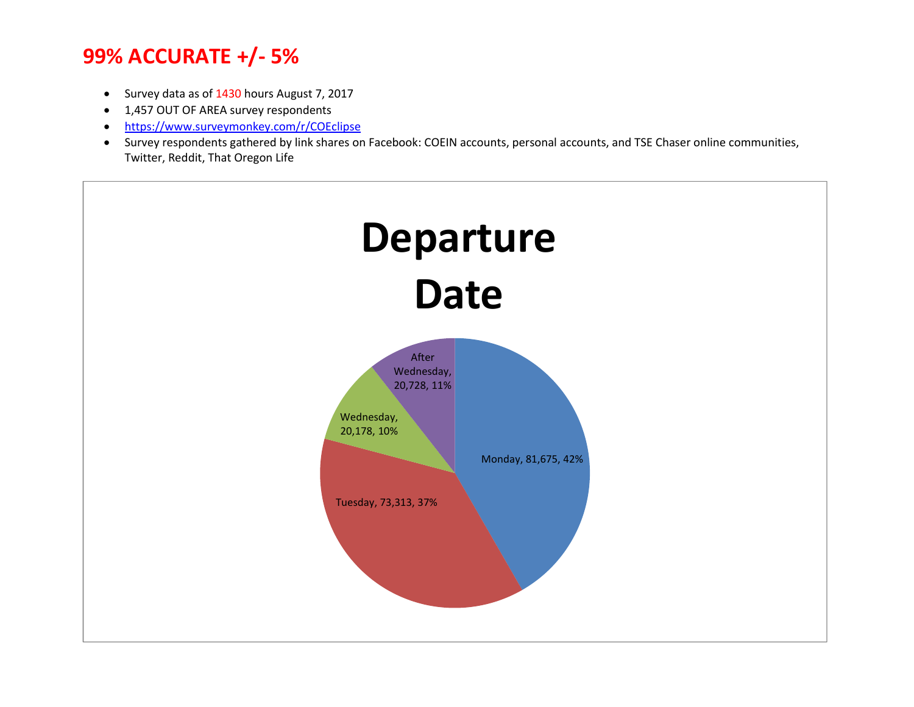- Survey data as of 1430 hours August 7, 2017
- 1,457 OUT OF AREA survey respondents
- https://www.surveymonkey.com/r/COEclipse
- Survey respondents gathered by link shares on Facebook: COEIN accounts, personal accounts, and TSE Chaser online communities, Twitter, Reddit, That Oregon Life

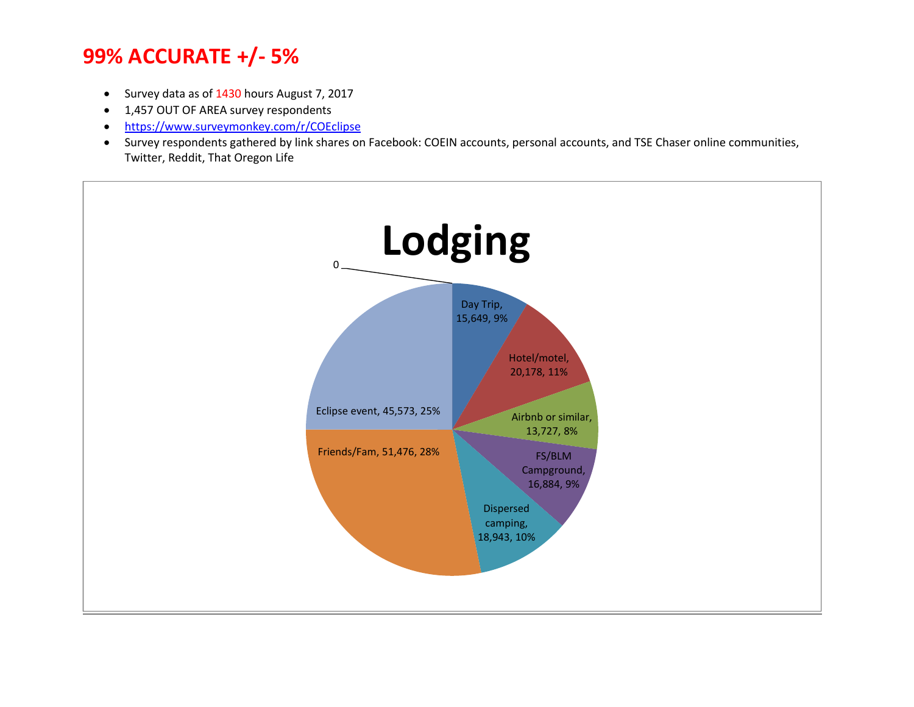- Survey data as of 1430 hours August 7, 2017
- 1,457 OUT OF AREA survey respondents
- https://www.surveymonkey.com/r/COEclipse
- Survey respondents gathered by link shares on Facebook: COEIN accounts, personal accounts, and TSE Chaser online communities, Twitter, Reddit, That Oregon Life

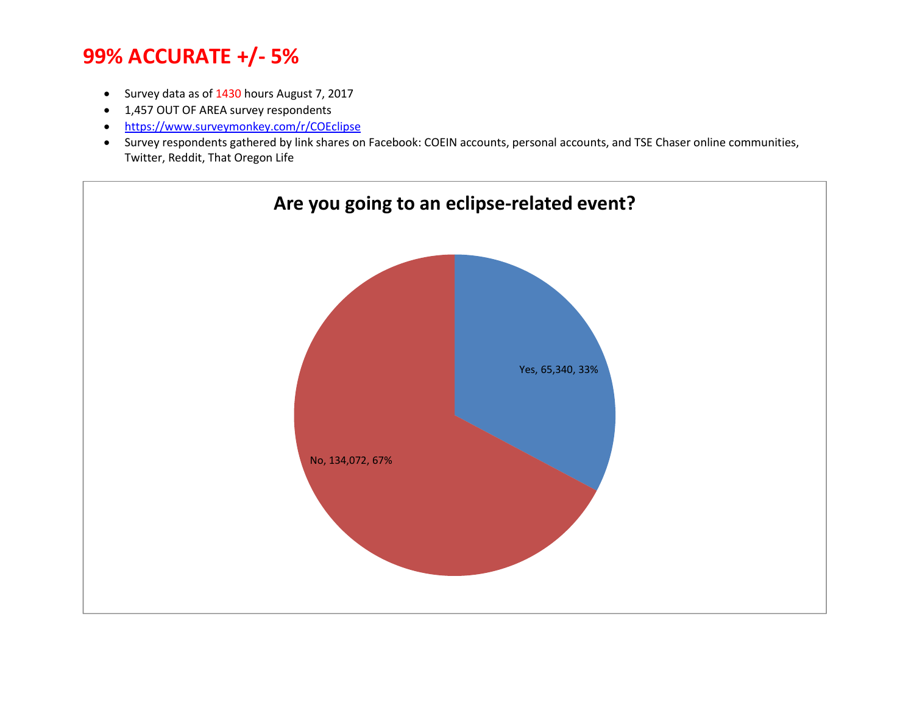- Survey data as of 1430 hours August 7, 2017
- 1,457 OUT OF AREA survey respondents
- https://www.surveymonkey.com/r/COEclipse
- Survey respondents gathered by link shares on Facebook: COEIN accounts, personal accounts, and TSE Chaser online communities, Twitter, Reddit, That Oregon Life